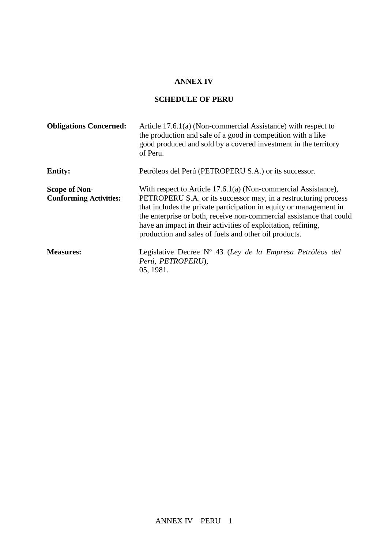## **ANNEX IV**

## **SCHEDULE OF PERU**

| <b>Obligations Concerned:</b>                         | Article 17.6.1(a) (Non-commercial Assistance) with respect to<br>the production and sale of a good in competition with a like<br>good produced and sold by a covered investment in the territory<br>of Peru.                                                                                                                                                                                              |
|-------------------------------------------------------|-----------------------------------------------------------------------------------------------------------------------------------------------------------------------------------------------------------------------------------------------------------------------------------------------------------------------------------------------------------------------------------------------------------|
| <b>Entity:</b>                                        | Petróleos del Perú (PETROPERU S.A.) or its successor.                                                                                                                                                                                                                                                                                                                                                     |
| <b>Scope of Non-</b><br><b>Conforming Activities:</b> | With respect to Article 17.6.1(a) (Non-commercial Assistance),<br>PETROPERU S.A. or its successor may, in a restructuring process<br>that includes the private participation in equity or management in<br>the enterprise or both, receive non-commercial assistance that could<br>have an impact in their activities of exploitation, refining,<br>production and sales of fuels and other oil products. |
| <b>Measures:</b>                                      | Legislative Decree Nº 43 (Ley de la Empresa Petróleos del<br>Perú, PETROPERU),<br>05, 1981.                                                                                                                                                                                                                                                                                                               |